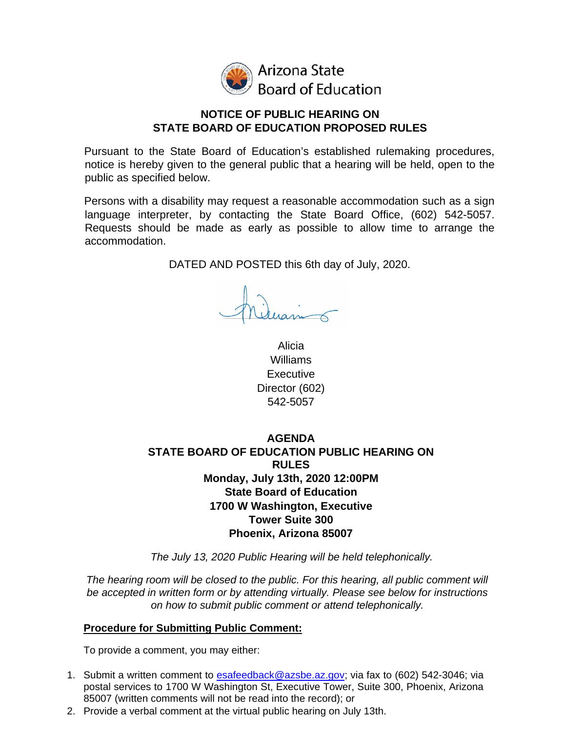

Arizona State **Board of Education** 

### **NOTICE OF PUBLIC HEARING ON STATE BOARD OF EDUCATION PROPOSED RULES**

Pursuant to the State Board of Education's established rulemaking procedures, notice is hereby given to the general public that a hearing will be held, open to the public as specified below.

Persons with a disability may request a reasonable accommodation such as a sign language interpreter, by contacting the State Board Office, (602) 542-5057. Requests should be made as early as possible to allow time to arrange the accommodation.

DATED AND POSTED this 16th day of October, 2020.

Alicia Williams Executive Director (602) 542-5057

# **AGENDA STATE BOARD OF EDUCATION PUBLIC HEARING ON RULES Wednesday, October 21st, 2020 12:00PM State Board of Education 1700 W Washington, Executive Tower Suite 300 Phoenix, Arizona 85007**

*The October 21, 2020 Public Hearing will be held telephonically.* 

*The hearing room will be closed to the public. For this hearing, all public comment will be accepted in written form or by attending virtually. Please see below for instructions on how to submit public comment or attend telephonically.*

## **Procedure for Submitting Public Comment:**

To provide a comment, you may either:

- 1. Submit a written comment to [inbox@azsbe.az.gov;](mailto:esafeedback@azsbe.az.gov) via fax to (602) 542-3046; via postal services to 1700 W Washington St, Executive Tower, Suite 300, Phoenix, Arizona 85007 (written comments will not be read into the record); or
- 2. Provide a verbal comment at the virtual public hearing on October 21.